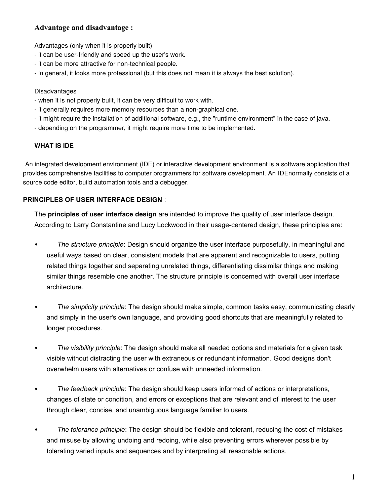#### **Advantage and disadvantage :**

Advantages (only when it is properly built)

- it can be user-friendly and speed up the user's work.
- it can be more attractive for non-technical people.
- in general, it looks more professional (but this does not mean it is always the best solution).

#### Disadvantages

- when it is not properly built, it can be very difficult to work with.
- it generally requires more memory resources than a non-graphical one.
- it might require the installation of additional software, e.g., the "runtime environment" in the case of java.
- depending on the programmer, it might require more time to be implemented.

#### **WHAT IS IDE**

An integrated development environment (IDE) or interactive development environment is a software application that provides comprehensive facilities to computer programmers for software development. An IDEnormally consists of a source code editor, build automation tools and a debugger.

#### **PRINCIPLES OF USER INTERFACE DESIGN** :

The **principles of user interface design** are intended to improve the quality of user interface design. According to [Larry Constantine](http://en.wikipedia.org/wiki/Larry_Constantine) and Lucy Lockwood in their usage-centered design, these principles are:

- *The structure principle*: Design should organize the user interface purposefully, in meaningful and useful ways based on clear, consistent models that are apparent and recognizable to users, putting related things together and separating unrelated things, differentiating dissimilar things and making similar things resemble one another. The structure principle is concerned with overall user interface architecture.
- *The simplicity principle*: The design should make simple, common tasks easy, communicating clearly and simply in the user's own language, and providing good shortcuts that are meaningfully related to longer procedures.
- *The visibility principle*: The design should make all needed options and materials for a given task visible without distracting the user with extraneous or redundant information. Good designs don't overwhelm users with alternatives or confuse with unneeded information.
- *The feedback principle*: The design should keep users informed of actions or interpretations, changes of state or condition, and errors or exceptions that are relevant and of interest to the user through clear, concise, and unambiguous language familiar to users.
- *The tolerance principle*: The design should be flexible and tolerant, reducing the cost of mistakes and misuse by allowing undoing and redoing, while also preventing errors wherever possible by tolerating varied inputs and sequences and by interpreting all reasonable actions.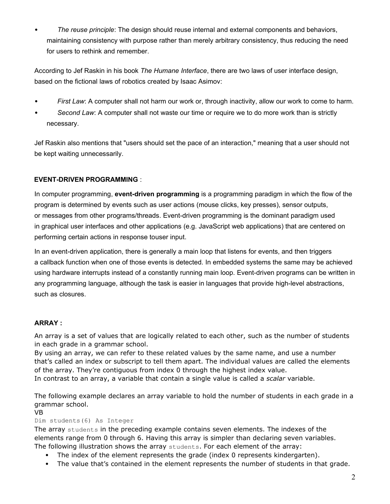*The reuse principle*: The design should reuse internal and external components and behaviors, maintaining consistency with purpose rather than merely arbitrary consistency, thus reducing the need for users to rethink and remember.

According to [Jef Raskin](http://en.wikipedia.org/wiki/Jef_Raskin) in his book *[The Humane Interface](http://en.wikipedia.org/wiki/The_Humane_Interface)*, there are two laws of user interface design, based on the fictional [laws of robotics](http://en.wikipedia.org/wiki/Three_Laws_of_Robotics) created by [Isaac Asimov:](http://en.wikipedia.org/wiki/Isaac_Asimov)

- *First Law*: A computer shall not harm our work or, through inactivity, allow our work to come to harm.
- *Second Law*: A computer shall not waste our time or require we to do more work than is strictly necessary.

[Jef Raskin](http://en.wikipedia.org/wiki/Jef_Raskin) also mentions that "users should set the pace of an interaction," meaning that a user should not be kept waiting unnecessarily.

#### **EVENT-DRIVEN PROGRAMMING** :

In [computer programming,](http://en.wikipedia.org/wiki/Computer_programming) **event-driven programming** is a [programming paradigm](http://en.wikipedia.org/wiki/Programming_paradigm) in which the [flow of the](http://en.wikipedia.org/wiki/Program_flow)  [program](http://en.wikipedia.org/wiki/Program_flow) is determined by [events](http://en.wikipedia.org/wiki/Event_(computing)) such as user actions [\(mouse](http://en.wikipedia.org/wiki/Computer_mouse) clicks, key presses), [sensor](http://en.wikipedia.org/wiki/Sensor) outputs, or [messages](http://en.wikipedia.org/wiki/Message_passing) from other programs[/threads.](http://en.wikipedia.org/wiki/Thread_(computer_science)) Event-driven programming is the dominant paradigm used in [graphical user interfaces](http://en.wikipedia.org/wiki/Graphical_user_interfaces) and other applications (e.g. JavaScript [web applications\)](http://en.wikipedia.org/wiki/Web_applications) that are centered on performing certain actions in response t[ouser input.](http://en.wikipedia.org/wiki/User_input)

In an event-driven application, there is generally a [main loop](http://en.wikipedia.org/wiki/Main_loop) that listens for events, and then triggers a [callback function](http://en.wikipedia.org/wiki/Callback_function) when one of those events is detected. In [embedded systems](http://en.wikipedia.org/wiki/Embedded_systems) the same may be achieved using [hardware interrupts](http://en.wikipedia.org/wiki/Hardware_interrupt) instead of a constantly running main loop. Event-driven programs can be written in any [programming language,](http://en.wikipedia.org/wiki/Programming_language) although the task is easier in languages that provide [high-level abstractions,](http://en.wikipedia.org/wiki/Abstraction_(computer_science)) such as [closures.](http://en.wikipedia.org/wiki/Closure_(computer_science))

#### **ARRAY :**

An array is a set of values that are logically related to each other, such as the number of students in each grade in a grammar school.

By using an array, we can refer to these related values by the same name, and use a number that's called an index or subscript to tell them apart. The individual values are called the elements of the array. They're contiguous from index 0 through the highest index value. In contrast to an array, a variable that contain a single value is called a *scalar* variable.

The following example declares an array variable to hold the number of students in each grade in a grammar school.

#### VB

Dim students(6) As Integer

The array students in the preceding example contains seven elements. The indexes of the elements range from 0 through 6. Having this array is simpler than declaring seven variables. The following illustration shows the array students. For each element of the array:

- The index of the element represents the grade (index 0 represents kindergarten).
- The value that's contained in the element represents the number of students in that grade.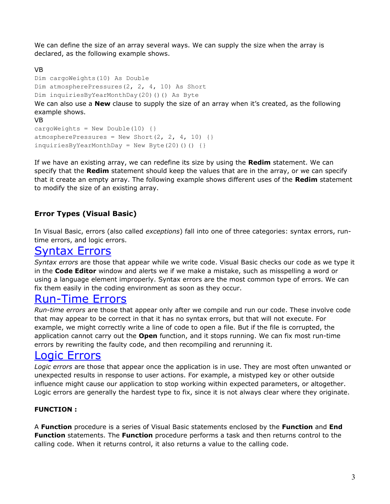We can define the size of an array several ways. We can supply the size when the array is declared, as the following example shows.

```
VB
Dim cargoWeights(10) As Double
Dim atmospherePressures(2, 2, 4, 10) As Short
Dim inquiriesByYearMonthDay(20)()() As Byte
We can also use a New clause to supply the size of an array when it's created, as the following
example shows.
VB
cargoWeights = New Double(10) \{ \}atmospherePressures = New Short(2, 2, 4, 10) {}
inquiriesByYearMonthDay = NewByte(20)() ()
```
If we have an existing array, we can redefine its size by using the **Redim** statement. We can specify that the **Redim** statement should keep the values that are in the array, or we can specify that it create an empty array. The following example shows different uses of the **Redim** statement to modify the size of an existing array.

## **Error Types (Visual Basic)**

In Visual Basic, errors (also called *exceptions*) fall into one of three categories: syntax errors, runtime errors, and logic errors.

## [Syntax Errors](javascript:void(0))

*Syntax errors* are those that appear while we write code. Visual Basic checks our code as we type it in the **Code Editor** window and alerts we if we make a mistake, such as misspelling a word or using a language element improperly. Syntax errors are the most common type of errors. We can fix them easily in the coding environment as soon as they occur.

## [Run-Time Errors](javascript:void(0))

*Run-time errors* are those that appear only after we compile and run our code. These involve code that may appear to be correct in that it has no syntax errors, but that will not execute. For example, we might correctly write a line of code to open a file. But if the file is corrupted, the application cannot carry out the **Open** function, and it stops running. We can fix most run-time errors by rewriting the faulty code, and then recompiling and rerunning it.

## [Logic Errors](javascript:void(0))

*Logic errors* are those that appear once the application is in use. They are most often unwanted or unexpected results in response to user actions. For example, a mistyped key or other outside influence might cause our application to stop working within expected parameters, or altogether. Logic errors are generally the hardest type to fix, since it is not always clear where they originate.

#### **FUNCTION :**

A **Function** procedure is a series of Visual Basic statements enclosed by the **Function** and **End Function** statements. The **Function** procedure performs a task and then returns control to the calling code. When it returns control, it also returns a value to the calling code.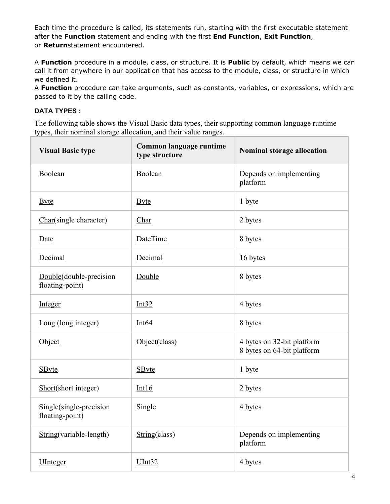Each time the procedure is called, its statements run, starting with the first executable statement after the **Function** statement and ending with the first **End Function**, **Exit Function**, or **Return**statement encountered.

A **Function** procedure in a module, class, or structure. It is **Public** by default, which means we can call it from anywhere in our application that has access to the module, class, or structure in which we defined it.

A **Function** procedure can take arguments, such as constants, variables, or expressions, which are passed to it by the calling code.

#### **DATA TYPES :**

The following table shows the Visual Basic data types, their supporting common language runtime types, their nominal storage allocation, and their value ranges.

| <b>Visual Basic type</b>                   | Common language runtime<br>type structure | Nominal storage allocation                               |
|--------------------------------------------|-------------------------------------------|----------------------------------------------------------|
| Boolean                                    | Boolean                                   | Depends on implementing<br>platform                      |
| <b>Byte</b>                                | <b>Byte</b>                               | 1 byte                                                   |
| Char(single character)                     | Char                                      | 2 bytes                                                  |
| Date                                       | <b>DateTime</b>                           | 8 bytes                                                  |
| Decimal                                    | Decimal                                   | 16 bytes                                                 |
| Double(double-precision<br>floating-point) | Double                                    | 8 bytes                                                  |
| Integer                                    | Int32                                     | 4 bytes                                                  |
| Long (long integer)                        | Int64                                     | 8 bytes                                                  |
| Object                                     | Object(class)                             | 4 bytes on 32-bit platform<br>8 bytes on 64-bit platform |
| <b>SByte</b>                               | <b>SByte</b>                              | 1 byte                                                   |
| Short(short integer)                       | Int16                                     | 2 bytes                                                  |
| Single(single-precision<br>floating-point) | Single                                    | 4 bytes                                                  |
| String(variable-length)                    | String(class)                             | Depends on implementing<br>platform                      |
| <b>UInteger</b>                            | <b>UInt32</b>                             | 4 bytes                                                  |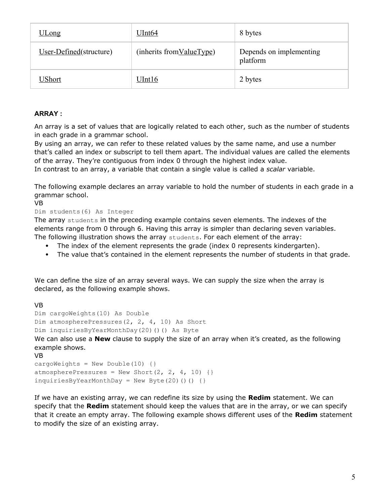| <u>ULong</u>            | UInt64                     | 8 bytes                             |
|-------------------------|----------------------------|-------------------------------------|
| User-Defined(structure) | (inherits from Value Type) | Depends on implementing<br>platform |
| UShort                  | UInt16                     | 2 bytes                             |

#### **ARRAY :**

An array is a set of values that are logically related to each other, such as the number of students in each grade in a grammar school.

By using an array, we can refer to these related values by the same name, and use a number that's called an index or subscript to tell them apart. The individual values are called the elements of the array. They're contiguous from index 0 through the highest index value.

In contrast to an array, a variable that contain a single value is called a *scalar* variable.

The following example declares an array variable to hold the number of students in each grade in a grammar school.

VB

#### Dim students(6) As Integer

The array students in the preceding example contains seven elements. The indexes of the elements range from 0 through 6. Having this array is simpler than declaring seven variables. The following illustration shows the array students. For each element of the array:

- The index of the element represents the grade (index 0 represents kindergarten).
- The value that's contained in the element represents the number of students in that grade.

We can define the size of an array several ways. We can supply the size when the array is declared, as the following example shows.

#### VB

```
Dim cargoWeights(10) As Double
Dim atmospherePressures(2, 2, 4, 10) As Short
```
Dim inquiriesByYearMonthDay(20)()() As Byte

We can also use a **New** clause to supply the size of an array when it's created, as the following example shows.

```
VB
cargoWeights = New Double(10) \{\}atmospherePressures = New Short(2, 2, 4, 10) {}
inquiriesByYearMonthDay = NewByte(20)() ()
```
If we have an existing array, we can redefine its size by using the **Redim** statement. We can specify that the **Redim** statement should keep the values that are in the array, or we can specify that it create an empty array. The following example shows different uses of the **Redim** statement to modify the size of an existing array.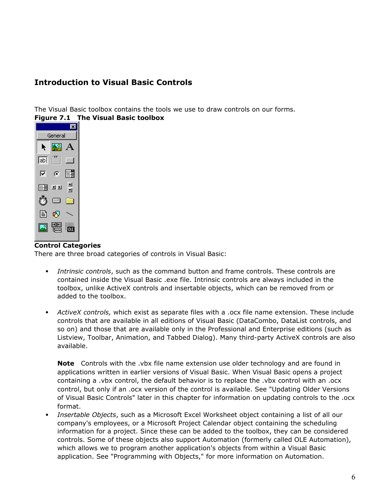## **Introduction to Visual Basic Controls**

The Visual Basic toolbox contains the tools we use to draw controls on our forms.





#### **Control Categories**

There are three broad categories of controls in Visual Basic:

- *Intrinsic controls*, such as the command button and frame controls. These controls are contained inside the Visual Basic .exe file. Intrinsic controls are always included in the toolbox, unlike ActiveX controls and insertable objects, which can be removed from or added to the toolbox.
- *ActiveX controls,* which exist as separate files with a .ocx file name extension. These include controls that are available in all editions of Visual Basic (DataCombo, DataList controls, and so on) and those that are available only in the Professional and Enterprise editions (such as Listview, Toolbar, Animation, and Tabbed Dialog). Many third-party ActiveX controls are also available.

**Note** Controls with the .vbx file name extension use older technology and are found in applications written in earlier versions of Visual Basic. When Visual Basic opens a project containing a .vbx control, the default behavior is to replace the .vbx control with an .ocx control, but only if an .ocx version of the control is available. See "Updating Older Versions of Visual Basic Controls" later in this chapter for information on updating controls to the .ocx format.

 *Insertable Objects*, such as a Microsoft Excel Worksheet object containing a list of all our company's employees, or a Microsoft Project Calendar object containing the scheduling information for a project. Since these can be added to the toolbox, they can be considered controls. Some of these objects also support Automation (formerly called OLE Automation), which allows we to program another application's objects from within a Visual Basic application. See "Programming with Objects," for more information on Automation.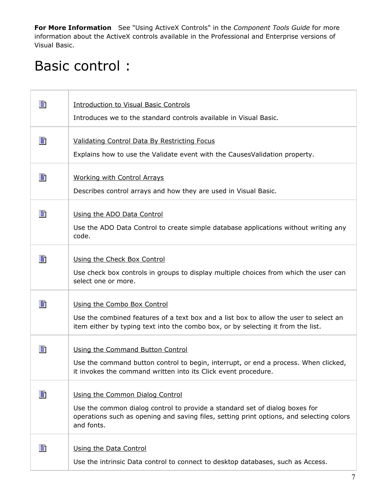**For More Information** See "Using ActiveX Controls" in the *Component Tools Guide* for more information about the ActiveX controls available in the Professional and Enterprise versions of Visual Basic.

# Basic control :

П

| B  | <b>Introduction to Visual Basic Controls</b><br>Introduces we to the standard controls available in Visual Basic.                                                                                                        |
|----|--------------------------------------------------------------------------------------------------------------------------------------------------------------------------------------------------------------------------|
| B  | Validating Control Data By Restricting Focus<br>Explains how to use the Validate event with the Causes Validation property.                                                                                              |
| B  | <b>Working with Control Arrays</b><br>Describes control arrays and how they are used in Visual Basic.                                                                                                                    |
| B  | Using the ADO Data Control<br>Use the ADO Data Control to create simple database applications without writing any<br>code.                                                                                               |
| B  | Using the Check Box Control<br>Use check box controls in groups to display multiple choices from which the user can<br>select one or more.                                                                               |
| B  | Using the Combo Box Control<br>Use the combined features of a text box and a list box to allow the user to select an<br>item either by typing text into the combo box, or by selecting it from the list.                 |
| B  | Using the Command Button Control<br>Use the command button control to begin, interrupt, or end a process. When clicked,<br>it invokes the command written into its Click event procedure.                                |
| h  | Using the Common Dialog Control<br>Use the common dialog control to provide a standard set of dialog boxes for<br>operations such as opening and saving files, setting print options, and selecting colors<br>and fonts. |
| ei | Using the Data Control<br>Use the intrinsic Data control to connect to desktop databases, such as Access.                                                                                                                |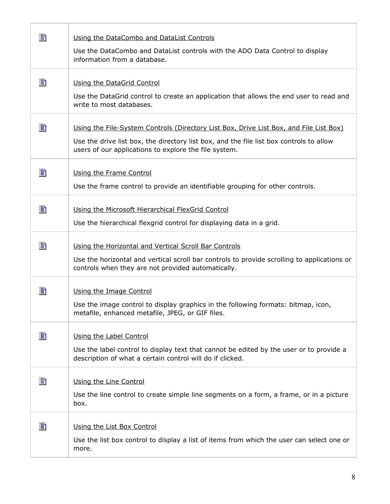| h | Using the DataCombo and DataList Controls                                                                                                            |
|---|------------------------------------------------------------------------------------------------------------------------------------------------------|
|   | Use the DataCombo and DataList controls with the ADO Data Control to display<br>information from a database.                                         |
|   |                                                                                                                                                      |
| B | Using the DataGrid Control                                                                                                                           |
|   | Use the DataGrid control to create an application that allows the end user to read and<br>write to most databases.                                   |
| B | Using the File-System Controls (Directory List Box, Drive List Box, and File List Box)                                                               |
|   | Use the drive list box, the directory list box, and the file list box controls to allow<br>users of our applications to explore the file system.     |
| B | Using the Frame Control                                                                                                                              |
|   | Use the frame control to provide an identifiable grouping for other controls.                                                                        |
| B | Using the Microsoft Hierarchical FlexGrid Control                                                                                                    |
|   | Use the hierarchical flexgrid control for displaying data in a grid.                                                                                 |
| B | Using the Horizontal and Vertical Scroll Bar Controls                                                                                                |
|   | Use the horizontal and vertical scroll bar controls to provide scrolling to applications or<br>controls when they are not provided automatically.    |
| B | Using the Image Control                                                                                                                              |
|   | Use the image control to display graphics in the following formats: bitmap, icon,<br>metafile, enhanced metafile, JPEG, or GIF files.                |
| h | Using the Label Control                                                                                                                              |
|   | Use the label control to display text that cannot be edited by the user or to provide a<br>description of what a certain control will do if clicked. |
| h | Using the Line Control                                                                                                                               |
|   | Use the line control to create simple line segments on a form, a frame, or in a picture<br>box.                                                      |
| B | Using the List Box Control                                                                                                                           |
|   | Use the list box control to display a list of items from which the user can select one or<br>more.                                                   |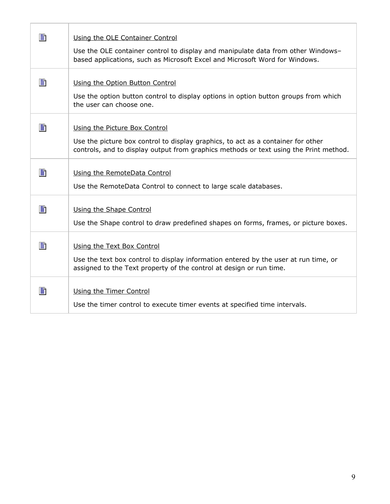| B | Using the OLE Container Control<br>Use the OLE container control to display and manipulate data from other Windows-                                                       |
|---|---------------------------------------------------------------------------------------------------------------------------------------------------------------------------|
|   | based applications, such as Microsoft Excel and Microsoft Word for Windows.                                                                                               |
| B | Using the Option Button Control                                                                                                                                           |
|   | Use the option button control to display options in option button groups from which<br>the user can choose one.                                                           |
| B | Using the Picture Box Control                                                                                                                                             |
|   | Use the picture box control to display graphics, to act as a container for other<br>controls, and to display output from graphics methods or text using the Print method. |
| B | Using the RemoteData Control                                                                                                                                              |
|   | Use the RemoteData Control to connect to large scale databases.                                                                                                           |
| 圕 | Using the Shape Control<br>Use the Shape control to draw predefined shapes on forms, frames, or picture boxes.                                                            |
|   |                                                                                                                                                                           |
| B | Using the Text Box Control                                                                                                                                                |
|   | Use the text box control to display information entered by the user at run time, or<br>assigned to the Text property of the control at design or run time.                |
| B | Using the Timer Control<br>Use the timer control to execute timer events at specified time intervals.                                                                     |

Г